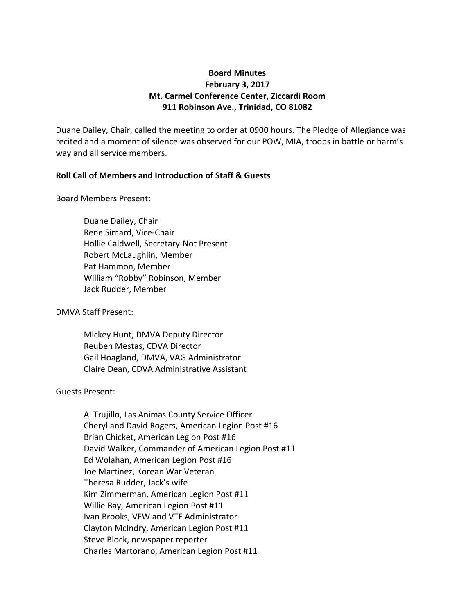# **Board Minutes February 3, 2017 Mt. Carmel Conference Center, Ziccardi Room 911 Robinson Ave., Trinidad, CO 81082**

Duane Dailey, Chair, called the meeting to order at 0900 hours. The Pledge of Allegiance was recited and a moment of silence was observed for our POW, MIA, troops in battle or harm's way and all service members.

# **Roll Call of Members and Introduction of Staff & Guests**

Board Members Present**:**

Duane Dailey, Chair Rene Simard, Vice-Chair Hollie Caldwell, Secretary-Not Present Robert McLaughlin, Member Pat Hammon, Member William "Robby" Robinson, Member Jack Rudder, Member

DMVA Staff Present:

Mickey Hunt, DMVA Deputy Director Reuben Mestas, CDVA Director Gail Hoagland, DMVA, VAG Administrator Claire Dean, CDVA Administrative Assistant

Guests Present:

Al Trujillo, Las Animas County Service Officer Cheryl and David Rogers, American Legion Post #16 Brian Chicket, American Legion Post #16 David Walker, Commander of American Legion Post #11 Ed Wolahan, American Legion Post #16 Joe Martinez, Korean War Veteran Theresa Rudder, Jack's wife Kim Zimmerman, American Legion Post #11 Willie Bay, American Legion Post #11 Ivan Brooks, VFW and VTF Administrator Clayton McIndry, American Legion Post #11 Steve Block, newspaper reporter Charles Martorano, American Legion Post #11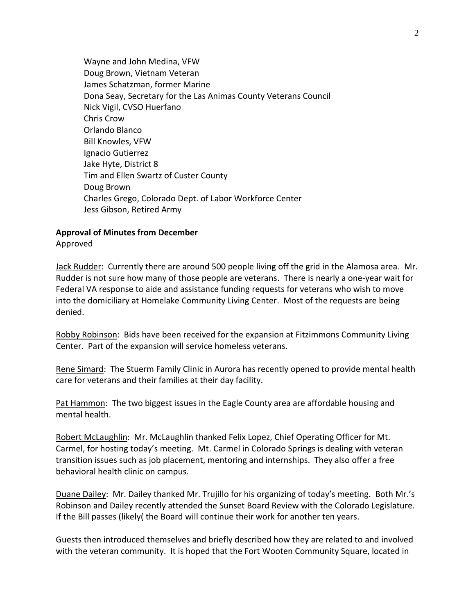Wayne and John Medina, VFW Doug Brown, Vietnam Veteran James Schatzman, former Marine Dona Seay, Secretary for the Las Animas County Veterans Council Nick Vigil, CVSO Huerfano Chris Crow Orlando Blanco Bill Knowles, VFW Ignacio Gutierrez Jake Hyte, District 8 Tim and Ellen Swartz of Custer County Doug Brown Charles Grego, Colorado Dept. of Labor Workforce Center Jess Gibson, Retired Army

# **Approval of Minutes from December**

Approved

Jack Rudder: Currently there are around 500 people living off the grid in the Alamosa area. Mr. Rudder is not sure how many of those people are veterans. There is nearly a one-year wait for Federal VA response to aide and assistance funding requests for veterans who wish to move into the domiciliary at Homelake Community Living Center. Most of the requests are being denied.

Robby Robinson: Bids have been received for the expansion at Fitzimmons Community Living Center. Part of the expansion will service homeless veterans.

Rene Simard: The Stuerm Family Clinic in Aurora has recently opened to provide mental health care for veterans and their families at their day facility.

Pat Hammon: The two biggest issues in the Eagle County area are affordable housing and mental health.

Robert McLaughlin: Mr. McLaughlin thanked Felix Lopez, Chief Operating Officer for Mt. Carmel, for hosting today's meeting. Mt. Carmel in Colorado Springs is dealing with veteran transition issues such as job placement, mentoring and internships. They also offer a free behavioral health clinic on campus.

Duane Dailey: Mr. Dailey thanked Mr. Trujillo for his organizing of today's meeting. Both Mr.'s Robinson and Dailey recently attended the Sunset Board Review with the Colorado Legislature. If the Bill passes (likely( the Board will continue their work for another ten years.

Guests then introduced themselves and briefly described how they are related to and involved with the veteran community. It is hoped that the Fort Wooten Community Square, located in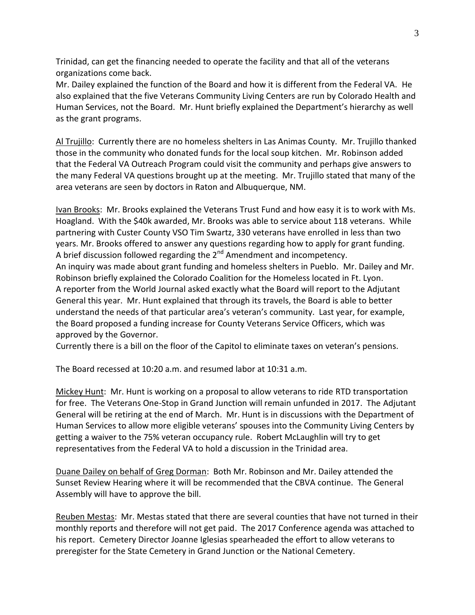Trinidad, can get the financing needed to operate the facility and that all of the veterans organizations come back.

Mr. Dailey explained the function of the Board and how it is different from the Federal VA. He also explained that the five Veterans Community Living Centers are run by Colorado Health and Human Services, not the Board. Mr. Hunt briefly explained the Department's hierarchy as well as the grant programs.

Al Trujillo: Currently there are no homeless shelters in Las Animas County. Mr. Trujillo thanked those in the community who donated funds for the local soup kitchen. Mr. Robinson added that the Federal VA Outreach Program could visit the community and perhaps give answers to the many Federal VA questions brought up at the meeting. Mr. Trujillo stated that many of the area veterans are seen by doctors in Raton and Albuquerque, NM.

Ivan Brooks: Mr. Brooks explained the Veterans Trust Fund and how easy it is to work with Ms. Hoagland. With the \$40k awarded, Mr. Brooks was able to service about 118 veterans. While partnering with Custer County VSO Tim Swartz, 330 veterans have enrolled in less than two years. Mr. Brooks offered to answer any questions regarding how to apply for grant funding. A brief discussion followed regarding the  $2^{nd}$  Amendment and incompetency. An inquiry was made about grant funding and homeless shelters in Pueblo. Mr. Dailey and Mr. Robinson briefly explained the Colorado Coalition for the Homeless located in Ft. Lyon. A reporter from the World Journal asked exactly what the Board will report to the Adjutant General this year. Mr. Hunt explained that through its travels, the Board is able to better understand the needs of that particular area's veteran's community. Last year, for example, the Board proposed a funding increase for County Veterans Service Officers, which was approved by the Governor.

Currently there is a bill on the floor of the Capitol to eliminate taxes on veteran's pensions.

The Board recessed at 10:20 a.m. and resumed labor at 10:31 a.m.

Mickey Hunt: Mr. Hunt is working on a proposal to allow veterans to ride RTD transportation for free. The Veterans One-Stop in Grand Junction will remain unfunded in 2017. The Adjutant General will be retiring at the end of March. Mr. Hunt is in discussions with the Department of Human Services to allow more eligible veterans' spouses into the Community Living Centers by getting a waiver to the 75% veteran occupancy rule. Robert McLaughlin will try to get representatives from the Federal VA to hold a discussion in the Trinidad area.

Duane Dailey on behalf of Greg Dorman: Both Mr. Robinson and Mr. Dailey attended the Sunset Review Hearing where it will be recommended that the CBVA continue. The General Assembly will have to approve the bill.

Reuben Mestas: Mr. Mestas stated that there are several counties that have not turned in their monthly reports and therefore will not get paid. The 2017 Conference agenda was attached to his report. Cemetery Director Joanne Iglesias spearheaded the effort to allow veterans to preregister for the State Cemetery in Grand Junction or the National Cemetery.